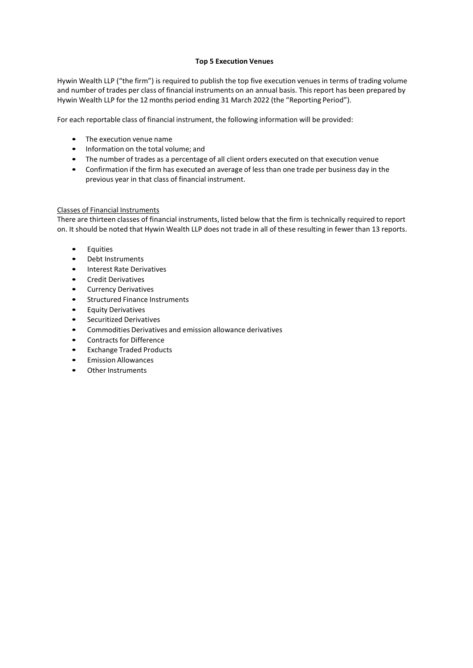## **Top 5 Execution Venues**

Hywin Wealth LLP ("the firm") is required to publish the top five execution venues in terms of trading volume and number of trades per class of financial instruments on an annual basis. This report has been prepared by Hywin Wealth LLP for the 12 months period ending 31 March 2022 (the "Reporting Period").

For each reportable class of financial instrument, the following information will be provided:

- The execution venue name
- Information on the total volume; and
- The number of trades as a percentage of all client orders executed on that execution venue
- Confirmation if the firm has executed an average of less than one trade per business day in the previous year in that class of financial instrument.

## Classes of Financial Instruments

There are thirteen classes of financial instruments, listed below that the firm is technically required to report on. It should be noted that Hywin Wealth LLP does not trade in all of these resulting in fewer than 13 reports.

- Equities
- Debt Instruments
- Interest Rate Derivatives
- Credit Derivatives
- Currency Derivatives
- Structured Finance Instruments
- Equity Derivatives
- Securitized Derivatives
- Commodities Derivatives and emission allowance derivatives
- Contracts for Difference
- Exchange Traded Products
- Emission Allowances
- Other Instruments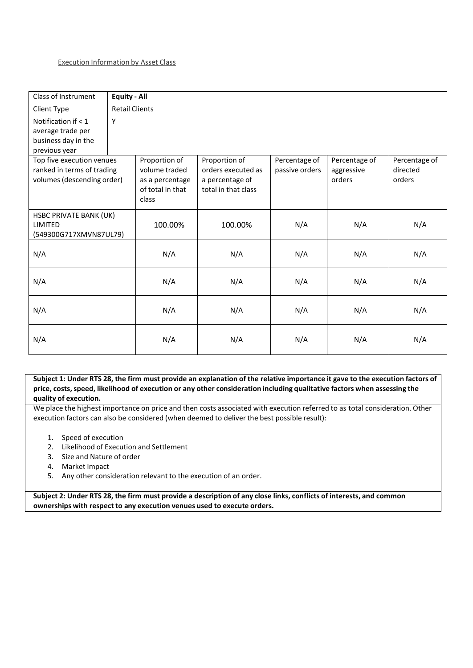| Class of Instrument        | <b>Equity - All</b>   |                   |                     |                   |                   |                   |  |
|----------------------------|-----------------------|-------------------|---------------------|-------------------|-------------------|-------------------|--|
| Client Type                | <b>Retail Clients</b> |                   |                     |                   |                   |                   |  |
| Notification if $< 1$      | Y                     |                   |                     |                   |                   |                   |  |
| average trade per          |                       |                   |                     |                   |                   |                   |  |
| business day in the        |                       |                   |                     |                   |                   |                   |  |
| previous year              |                       |                   |                     |                   |                   |                   |  |
| Top five execution venues  |                       | Proportion of     | Proportion of       | Percentage of     | Percentage of     | Percentage of     |  |
| ranked in terms of trading |                       | volume traded     | orders executed as  | passive orders    | aggressive        | directed          |  |
| volumes (descending order) |                       | as a percentage   | a percentage of     |                   | orders            | orders            |  |
|                            |                       | of total in that  | total in that class |                   |                   |                   |  |
|                            |                       | class             |                     |                   |                   |                   |  |
| HSBC PRIVATE BANK (UK)     |                       |                   |                     |                   |                   |                   |  |
| LIMITED                    |                       | 100.00%           | 100.00%             | N/A               | N/A               | N/A               |  |
| (549300G717XMVN87UL79)     |                       |                   |                     |                   |                   |                   |  |
|                            |                       |                   |                     |                   |                   |                   |  |
|                            |                       |                   |                     |                   |                   |                   |  |
|                            |                       |                   |                     |                   |                   |                   |  |
|                            |                       |                   |                     |                   |                   |                   |  |
|                            |                       |                   |                     |                   |                   |                   |  |
|                            |                       |                   |                     |                   |                   |                   |  |
| N/A                        |                       | N/A               | N/A                 | N/A               | N/A               | N/A               |  |
|                            |                       |                   |                     |                   |                   |                   |  |
|                            |                       |                   |                     |                   |                   |                   |  |
|                            |                       |                   |                     |                   |                   |                   |  |
| N/A<br>N/A<br>N/A          |                       | N/A<br>N/A<br>N/A | N/A<br>N/A<br>N/A   | N/A<br>N/A<br>N/A | N/A<br>N/A<br>N/A | N/A<br>N/A<br>N/A |  |

Subject 1: Under RTS 28, the firm must provide an explanation of the relative importance it gave to the execution factors of price, costs, speed, likelihood of execution or any other consideration including qualitative factors when assessing the **quality of execution.**

We place the highest importance on price and then costs associated with execution referred to as total consideration. Other execution factors can also be considered (when deemed to deliver the best possible result):

- 1. Speed of execution
- 2. Likelihood of Execution and Settlement
- 3. Size and Nature of order
- 4. Market Impact
- 5. Any other consideration relevant to the execution of an order.

Subject 2: Under RTS 28, the firm must provide a description of any close links, conflicts of interests, and common **ownerships with respect to any execution venues used to execute orders.**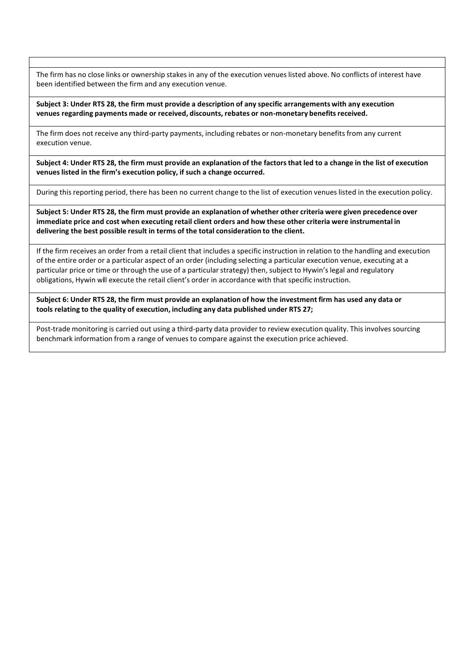The firm has no close links or ownership stakes in any of the execution venues listed above. No conflicts of interest have been identified between the firm and any execution venue.

Subject 3: Under RTS 28, the firm must provide a description of any specific arrangements with any execution **venues regarding payments made or received, discounts, rebates or non-monetary benefitsreceived.**

The firm does not receive any third-party payments, including rebates or non-monetary benefits from any current execution venue.

Subject 4: Under RTS 28, the firm must provide an explanation of the factors that led to a change in the list of execution **venueslisted in the firm's execution policy, if such a change occurred.**

During this reporting period, there has been no current change to the list of execution venues listed in the execution policy.

Subject 5: Under RTS 28, the firm must provide an explanation of whether other criteria were given precedence over immediate price and cost when executing retail client orders and how these other criteria were instrumental in **delivering the best possible result in terms of the total consideration to the client.**

If the firm receives an order from a retail client that includes a specific instruction in relation to the handling and execution of the entire order or a particular aspect of an order (including selecting a particular execution venue, executing at a particular price or time or through the use of a particular strategy) then, subject to Hywin's legal and regulatory obligations, Hywin will execute the retail client's order in accordance with that specific instruction.

Subject 6: Under RTS 28, the firm must provide an explanation of how the investment firm has used any data or **tools relating to the quality of execution, including any data published under RTS 27;**

Post-trade monitoring is carried out using a third-party data provider to review execution quality. This involves sourcing benchmark information from a range of venues to compare against the execution price achieved.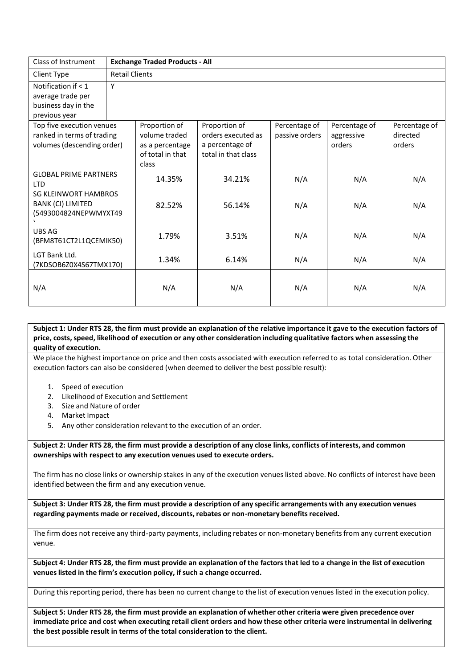| Class of Instrument                                                                   | <b>Exchange Traded Products - All</b> |                                                                                |                                                                               |                                 |                                       |                                     |  |
|---------------------------------------------------------------------------------------|---------------------------------------|--------------------------------------------------------------------------------|-------------------------------------------------------------------------------|---------------------------------|---------------------------------------|-------------------------------------|--|
| Client Type                                                                           | <b>Retail Clients</b>                 |                                                                                |                                                                               |                                 |                                       |                                     |  |
| Notification if $< 1$<br>average trade per<br>business day in the<br>previous year    | Υ                                     |                                                                                |                                                                               |                                 |                                       |                                     |  |
| Top five execution venues<br>ranked in terms of trading<br>volumes (descending order) |                                       | Proportion of<br>volume traded<br>as a percentage<br>of total in that<br>class | Proportion of<br>orders executed as<br>a percentage of<br>total in that class | Percentage of<br>passive orders | Percentage of<br>aggressive<br>orders | Percentage of<br>directed<br>orders |  |
| <b>GLOBAL PRIME PARTNERS</b><br><b>LTD</b>                                            |                                       | 14.35%                                                                         | 34.21%                                                                        | N/A                             | N/A                                   | N/A                                 |  |
| <b>SG KLEINWORT HAMBROS</b><br><b>BANK (CI) LIMITED</b><br>(5493004824NEPWMYXT49      |                                       | 82.52%                                                                         | 56.14%                                                                        | N/A                             | N/A                                   | N/A                                 |  |
| UBS AG<br>(BFM8T61CT2L1QCEMIK50)                                                      |                                       | 1.79%                                                                          | 3.51%                                                                         | N/A                             | N/A                                   | N/A                                 |  |
| LGT Bank Ltd.<br>(7KDSOB6Z0X4S67TMX170)                                               |                                       | 1.34%                                                                          | 6.14%                                                                         | N/A                             | N/A                                   | N/A                                 |  |
| N/A                                                                                   |                                       | N/A                                                                            | N/A                                                                           | N/A                             | N/A                                   | N/A                                 |  |

Subject 1: Under RTS 28, the firm must provide an explanation of the relative importance it gave to the execution factors of price, costs, speed, likelihood of execution or any other consideration including qualitative factors when assessing the **quality of execution.**

We place the highest importance on price and then costs associated with execution referred to as total consideration. Other execution factors can also be considered (when deemed to deliver the best possible result):

- 1. Speed of execution
- 2. Likelihood of Execution and Settlement
- 3. Size and Nature of order
- 4. Market Impact
- 5. Any other consideration relevant to the execution of an order.

Subject 2: Under RTS 28, the firm must provide a description of any close links, conflicts of interests, and common **ownerships with respect to any execution venues used to execute orders.**

The firm has no close links or ownership stakes in any of the execution venues listed above. No conflicts of interest have been identified between the firm and any execution venue.

Subject 3: Under RTS 28, the firm must provide a description of any specific arrangements with any execution venues **regarding payments made or received, discounts, rebates or non-monetary benefitsreceived.**

The firm does not receive any third-party payments, including rebates or non-monetary benefits from any current execution venue.

Subject 4: Under RTS 28, the firm must provide an explanation of the factors that led to a change in the list of execution **venueslisted in the firm's execution policy, if such a change occurred.**

During this reporting period, there has been no current change to the list of execution venues listed in the execution policy.

Subject 5: Under RTS 28, the firm must provide an explanation of whether other criteria were given precedence over immediate price and cost when executing retail client orders and how these other criteria were instrumental in delivering **the best possible result in terms of the total consideration to the client.**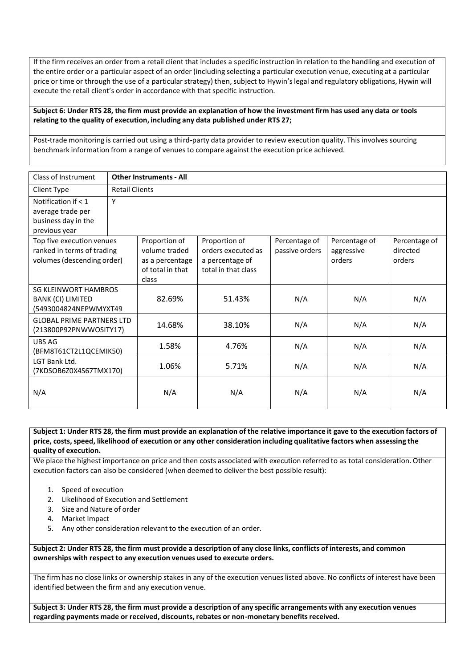If the firm receives an order from a retail client that includes a specific instruction in relation to the handling and execution of the entire order or a particular aspect of an order (including selecting a particular execution venue, executing at a particular price or time or through the use of a particular strategy) then, subject to Hywin's legal and regulatory obligations, Hywin will execute the retail client's order in accordance with that specific instruction.

Subject 6: Under RTS 28, the firm must provide an explanation of how the investment firm has used any data or tools **relating to the quality of execution, including any data published under RTS 27;**

Post-trade monitoring is carried out using a third-party data provider to review execution quality. This involves sourcing benchmark information from a range of venues to compare against the execution price achieved.

| Class of Instrument                                        | <b>Other Instruments - All</b> |                  |                     |                |               |               |  |
|------------------------------------------------------------|--------------------------------|------------------|---------------------|----------------|---------------|---------------|--|
| Client Type                                                | <b>Retail Clients</b>          |                  |                     |                |               |               |  |
| Notification if $< 1$                                      | Υ                              |                  |                     |                |               |               |  |
| average trade per                                          |                                |                  |                     |                |               |               |  |
| business day in the                                        |                                |                  |                     |                |               |               |  |
| previous year                                              |                                |                  |                     |                |               |               |  |
| Top five execution venues                                  |                                | Proportion of    | Proportion of       | Percentage of  | Percentage of | Percentage of |  |
| ranked in terms of trading                                 |                                | volume traded    | orders executed as  | passive orders | aggressive    | directed      |  |
| volumes (descending order)                                 |                                | as a percentage  | a percentage of     |                | orders        | orders        |  |
|                                                            |                                | of total in that | total in that class |                |               |               |  |
|                                                            |                                | class            |                     |                |               |               |  |
| <b>SG KLEINWORT HAMBROS</b>                                |                                |                  |                     |                |               |               |  |
| BANK (CI) LIMITED                                          |                                | 82.69%           | 51.43%              | N/A            | N/A           | N/A           |  |
| (5493004824NEPWMYXT49                                      |                                |                  |                     |                |               |               |  |
| <b>GLOBAL PRIME PARTNERS LTD</b><br>(213800P92PNWWOSITY17) |                                | 14.68%           | 38.10%              | N/A            | N/A           | N/A           |  |
|                                                            |                                |                  |                     |                |               |               |  |
| UBS AG                                                     |                                | 1.58%            | 4.76%               | N/A            | N/A           | N/A           |  |
| (BFM8T61CT2L1QCEMIK50)                                     |                                |                  |                     |                |               |               |  |
| LGT Bank Ltd.                                              |                                | 1.06%            | 5.71%               | N/A            | N/A           | N/A           |  |
| (7KDSOB6Z0X4S67TMX170)                                     |                                |                  |                     |                |               |               |  |
|                                                            |                                |                  |                     |                |               |               |  |
| N/A                                                        |                                | N/A              | N/A                 | N/A            | N/A           | N/A           |  |
|                                                            |                                |                  |                     |                |               |               |  |

## Subject 1: Under RTS 28, the firm must provide an explanation of the relative importance it gave to the execution factors of price, costs, speed, likelihood of execution or any other consideration including qualitative factors when assessing the **quality of execution.**

We place the highest importance on price and then costs associated with execution referred to as total consideration. Other execution factors can also be considered (when deemed to deliver the best possible result):

- 1. Speed of execution
- 2. Likelihood of Execution and Settlement
- 3. Size and Nature of order
- 4. Market Impact
- 5. Any other consideration relevant to the execution of an order.

Subject 2: Under RTS 28, the firm must provide a description of any close links, conflicts of interests, and common **ownerships with respect to any execution venues used to execute orders.**

The firm has no close links or ownership stakes in any of the execution venues listed above. No conflicts of interest have been identified between the firm and any execution venue.

Subject 3: Under RTS 28, the firm must provide a description of any specific arrangements with any execution venues **regarding payments made or received, discounts, rebates or non-monetary benefitsreceived.**